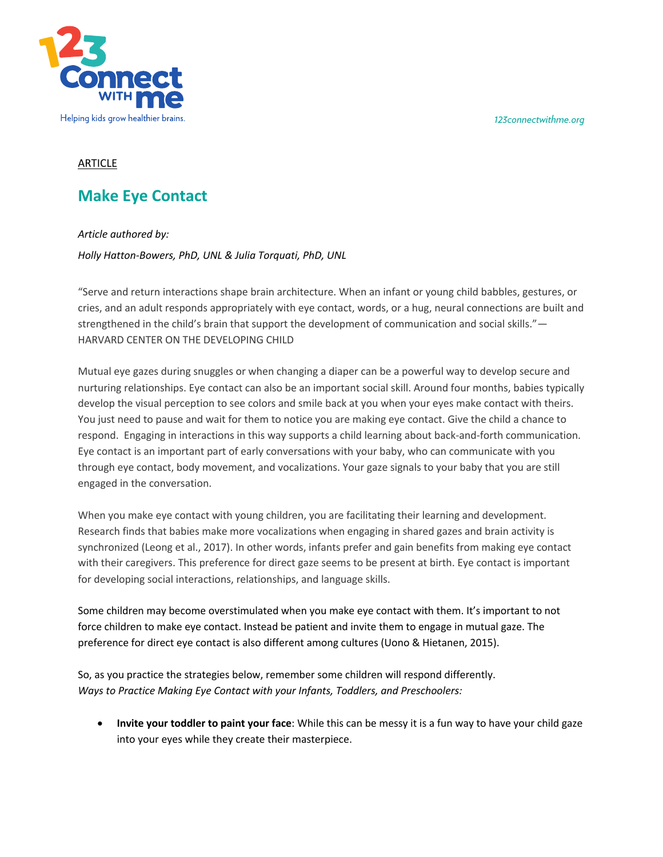*123connectwithme.org*



## ARTICLE

## **Make Eye Contact**

*Article authored by:* 

*Holly Hatton-Bowers, PhD, UNL & Julia Torquati, PhD, UNL*

"Serve and return interactions shape brain architecture. When an infant or young child babbles, gestures, or cries, and an adult responds appropriately with eye contact, words, or a hug, neural connections are built and strengthened in the child's brain that support the development of communication and social skills."— HARVARD CENTER ON THE DEVELOPING CHILD

Mutual eye gazes during snuggles or when changing a diaper can be a powerful way to develop secure and nurturing relationships. Eye contact can also be an important social skill. Around four months, babies typically develop the visual perception to see colors and smile back at you when your eyes make contact with theirs. You just need to pause and wait for them to notice you are making eye contact. Give the child a chance to respond. Engaging in interactions in this way supports a child learning about back-and-forth communication. Eye contact is an important part of early conversations with your baby, who can communicate with you through eye contact, body movement, and vocalizations. Your gaze signals to your baby that you are still engaged in the conversation.

When you make eye contact with young children, you are facilitating their learning and development. Research finds that babies make more vocalizations when engaging in shared gazes and brain activity is synchronized (Leong et al., 2017). In other words, infants prefer and gain benefits from making eye contact with their caregivers. This preference for direct gaze seems to be present at birth. Eye contact is important for developing social interactions, relationships, and language skills.

Some children may become overstimulated when you make eye contact with them. It's important to not force children to make eye contact. Instead be patient and invite them to engage in mutual gaze. The preference for direct eye contact is also different among cultures (Uono & Hietanen, 2015).

So, as you practice the strategies below, remember some children will respond differently. *Ways to Practice Making Eye Contact with your Infants, Toddlers, and Preschoolers:*

• **Invite your toddler to paint your face**: While this can be messy it is a fun way to have your child gaze into your eyes while they create their masterpiece.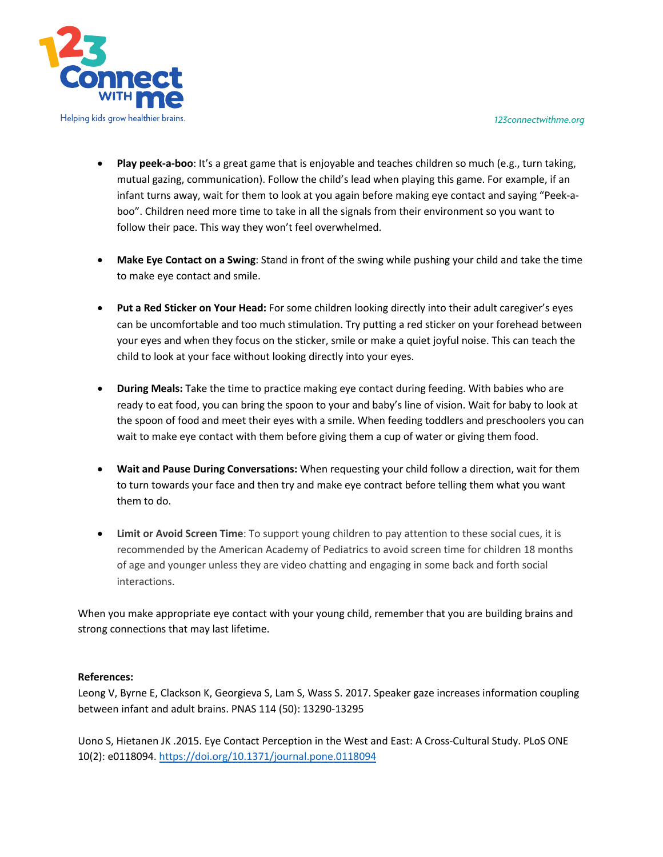*123connectwithme.org*



- **Play peek-a-boo**: It's a great game that is enjoyable and teaches children so much (e.g., turn taking, mutual gazing, communication). Follow the child's lead when playing this game. For example, if an infant turns away, wait for them to look at you again before making eye contact and saying "Peek-aboo". Children need more time to take in all the signals from their environment so you want to follow their pace. This way they won't feel overwhelmed.
- **Make Eye Contact on a Swing**: Stand in front of the swing while pushing your child and take the time to make eye contact and smile.
- **Put a Red Sticker on Your Head:** For some children looking directly into their adult caregiver's eyes can be uncomfortable and too much stimulation. Try putting a red sticker on your forehead between your eyes and when they focus on the sticker, smile or make a quiet joyful noise. This can teach the child to look at your face without looking directly into your eyes.
- **During Meals:** Take the time to practice making eye contact during feeding. With babies who are ready to eat food, you can bring the spoon to your and baby's line of vision. Wait for baby to look at the spoon of food and meet their eyes with a smile. When feeding toddlers and preschoolers you can wait to make eye contact with them before giving them a cup of water or giving them food.
- **Wait and Pause During Conversations:** When requesting your child follow a direction, wait for them to turn towards your face and then try and make eye contract before telling them what you want them to do.
- **Limit or Avoid Screen Time**: To support young children to pay attention to these social cues, it is recommended by the American Academy of Pediatrics to avoid screen time for children 18 months of age and younger unless they are video chatting and engaging in some back and forth social interactions.

When you make appropriate eye contact with your young child, remember that you are building brains and strong connections that may last lifetime.

## **References:**

Leong V, Byrne E, Clackson K, Georgieva S, Lam S, Wass S. 2017. Speaker gaze increases information coupling between infant and adult brains. PNAS 114 (50): 13290-13295

Uono S, Hietanen JK .2015. Eye Contact Perception in the West and East: A Cross-Cultural Study. PLoS ONE 10(2): e0118094. https://doi.org/10.1371/journal.pone.0118094